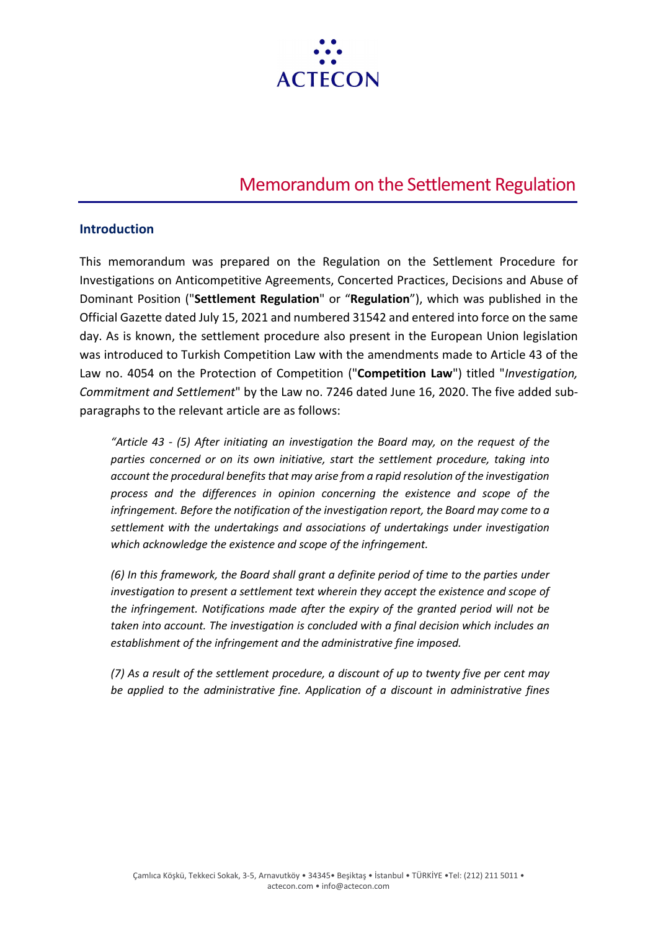

# Memorandum on the Settlement Regulation

#### **Introduction**

This memorandum was prepared on the Regulation on the Settlement Procedure for Investigations on Anticompetitive Agreements, Concerted Practices, Decisions and Abuse of Dominant Position ("**Settlement Regulation**" or "**Regulation**"), which was published in the Official Gazette dated July 15, 2021 and numbered 31542 and entered into force on the same day. As is known, the settlement procedure also present in the European Union legislation was introduced to Turkish Competition Law with the amendments made to Article 43 of the Law no. 4054 on the Protection of Competition ("**Competition Law**") titled "*Investigation, Commitment and Settlement*" by the Law no. 7246 dated June 16, 2020. The five added subparagraphs to the relevant article are as follows:

*"Article 43 - (5) After initiating an investigation the Board may, on the request of the parties concerned or on its own initiative, start the settlement procedure, taking into account the procedural benefits that may arise from a rapid resolution of the investigation process and the differences in opinion concerning the existence and scope of the infringement. Before the notification of the investigation report, the Board may come to a settlement with the undertakings and associations of undertakings under investigation which acknowledge the existence and scope of the infringement.*

*(6) In this framework, the Board shall grant a definite period of time to the parties under investigation to present a settlement text wherein they accept the existence and scope of the infringement. Notifications made after the expiry of the granted period will not be taken into account. The investigation is concluded with a final decision which includes an establishment of the infringement and the administrative fine imposed.*

*(7) As a result of the settlement procedure, a discount of up to twenty five per cent may be applied to the administrative fine. Application of a discount in administrative fines*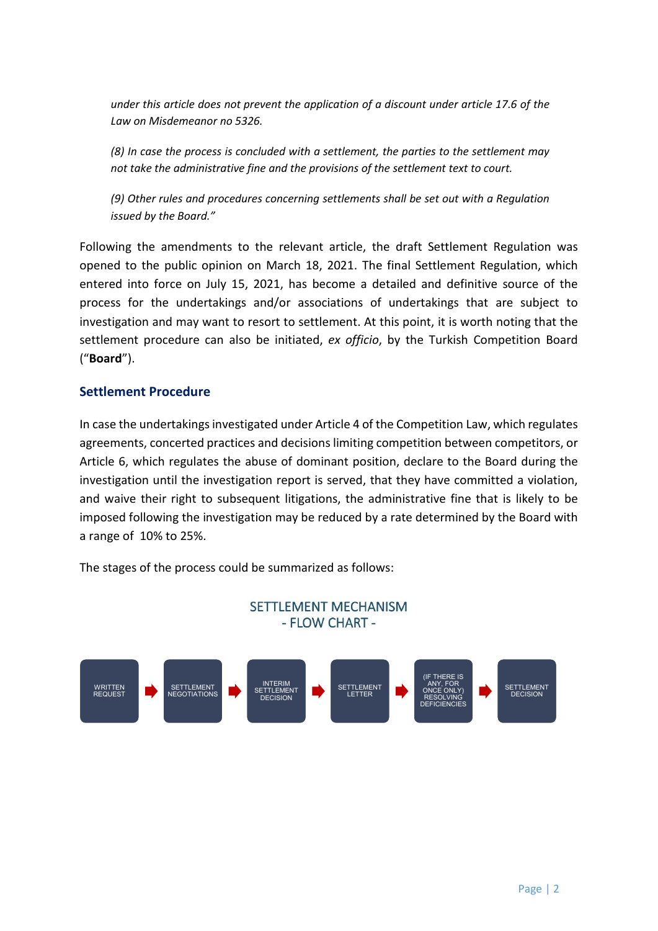*under this article does not prevent the application of a discount under article 17.6 of the Law on Misdemeanor no 5326.*

*(8) In case the process is concluded with a settlement, the parties to the settlement may not take the administrative fine and the provisions of the settlement text to court.*

*(9) Other rules and procedures concerning settlements shall be set out with a Regulation issued by the Board."*

Following the amendments to the relevant article, the draft Settlement Regulation was opened to the public opinion on March 18, 2021. The final Settlement Regulation, which entered into force on July 15, 2021, has become a detailed and definitive source of the process for the undertakings and/or associations of undertakings that are subject to investigation and may want to resort to settlement. At this point, it is worth noting that the settlement procedure can also be initiated, *ex officio*, by the Turkish Competition Board ("**Board**").

## **Settlement Procedure**

In case the undertakings investigated under Article 4 of the Competition Law, which regulates agreements, concerted practices and decisions limiting competition between competitors, or Article 6, which regulates the abuse of dominant position, declare to the Board during the investigation until the investigation report is served, that they have committed a violation, and waive their right to subsequent litigations, the administrative fine that is likely to be imposed following the investigation may be reduced by a rate determined by the Board with a range of 10% to 25%.

The stages of the process could be summarized as follows:

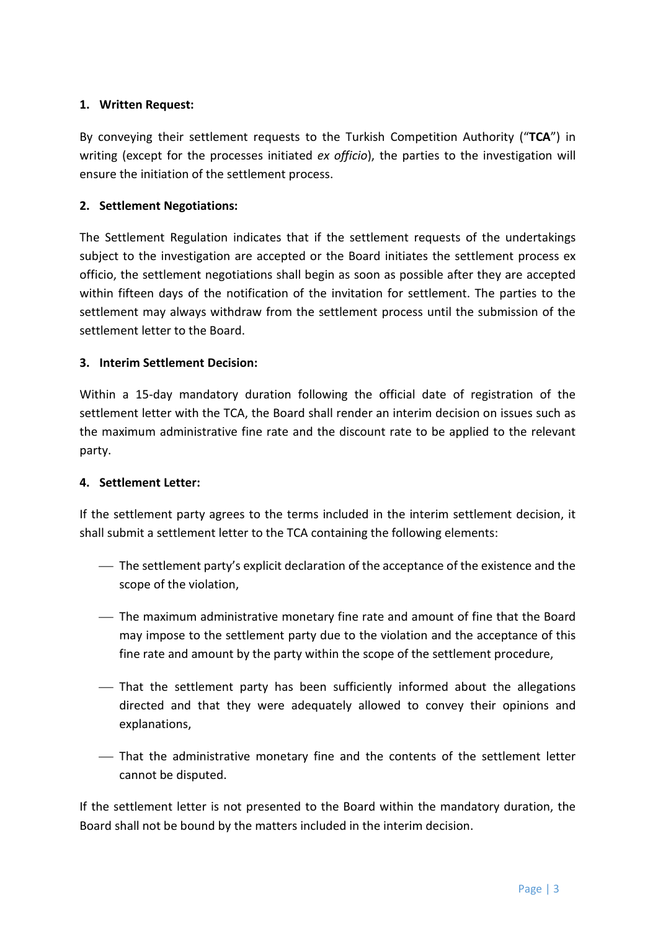## **1. Written Request:**

By conveying their settlement requests to the Turkish Competition Authority ("**TCA**") in writing (except for the processes initiated *ex officio*), the parties to the investigation will ensure the initiation of the settlement process.

## **2. Settlement Negotiations:**

The Settlement Regulation indicates that if the settlement requests of the undertakings subject to the investigation are accepted or the Board initiates the settlement process ex officio, the settlement negotiations shall begin as soon as possible after they are accepted within fifteen days of the notification of the invitation for settlement. The parties to the settlement may always withdraw from the settlement process until the submission of the settlement letter to the Board.

## **3. Interim Settlement Decision:**

Within a 15-day mandatory duration following the official date of registration of the settlement letter with the TCA, the Board shall render an interim decision on issues such as the maximum administrative fine rate and the discount rate to be applied to the relevant party.

## **4. Settlement Letter:**

If the settlement party agrees to the terms included in the interim settlement decision, it shall submit a settlement letter to the TCA containing the following elements:

- The settlement party's explicit declaration of the acceptance of the existence and the scope of the violation,
- The maximum administrative monetary fine rate and amount of fine that the Board may impose to the settlement party due to the violation and the acceptance of this fine rate and amount by the party within the scope of the settlement procedure,
- That the settlement party has been sufficiently informed about the allegations directed and that they were adequately allowed to convey their opinions and explanations,
- That the administrative monetary fine and the contents of the settlement letter cannot be disputed.

If the settlement letter is not presented to the Board within the mandatory duration, the Board shall not be bound by the matters included in the interim decision.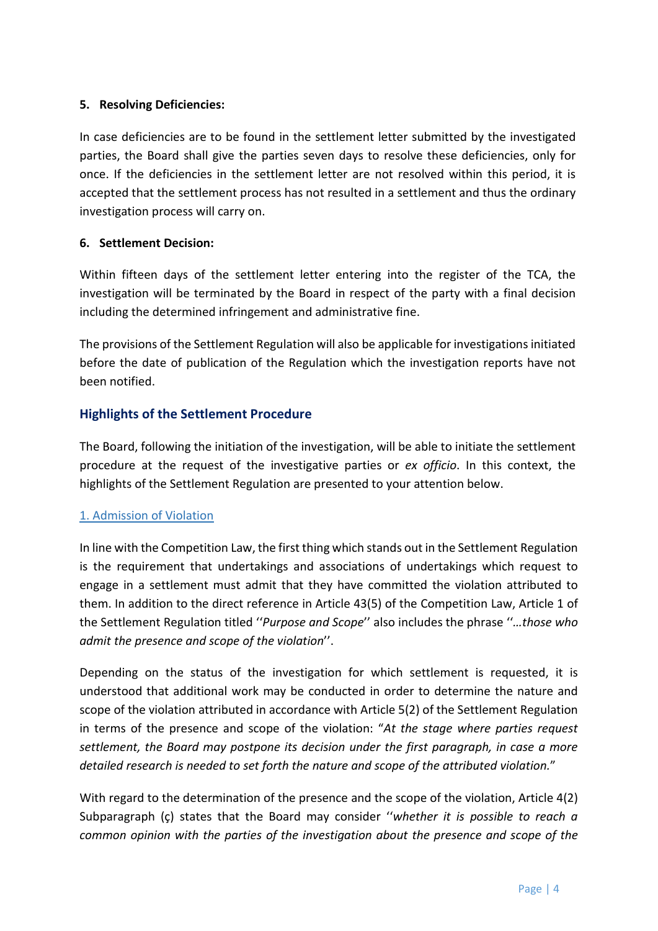#### **5. Resolving Deficiencies:**

In case deficiencies are to be found in the settlement letter submitted by the investigated parties, the Board shall give the parties seven days to resolve these deficiencies, only for once. If the deficiencies in the settlement letter are not resolved within this period, it is accepted that the settlement process has not resulted in a settlement and thus the ordinary investigation process will carry on.

#### **6. Settlement Decision:**

Within fifteen days of the settlement letter entering into the register of the TCA, the investigation will be terminated by the Board in respect of the party with a final decision including the determined infringement and administrative fine.

The provisions of the Settlement Regulation will also be applicable for investigations initiated before the date of publication of the Regulation which the investigation reports have not been notified.

## **Highlights of the Settlement Procedure**

The Board, following the initiation of the investigation, will be able to initiate the settlement procedure at the request of the investigative parties or *ex officio*. In this context, the highlights of the Settlement Regulation are presented to your attention below.

## 1. Admission of Violation

In line with the Competition Law, the first thing which stands out in the Settlement Regulation is the requirement that undertakings and associations of undertakings which request to engage in a settlement must admit that they have committed the violation attributed to them. In addition to the direct reference in Article 43(5) of the Competition Law, Article 1 of the Settlement Regulation titled ''*Purpose and Scope*'' also includes the phrase ''*…those who admit the presence and scope of the violation*''.

Depending on the status of the investigation for which settlement is requested, it is understood that additional work may be conducted in order to determine the nature and scope of the violation attributed in accordance with Article 5(2) of the Settlement Regulation in terms of the presence and scope of the violation: "*At the stage where parties request settlement, the Board may postpone its decision under the first paragraph, in case a more detailed research is needed to set forth the nature and scope of the attributed violation.*"

With regard to the determination of the presence and the scope of the violation, Article 4(2) Subparagraph (ç) states that the Board may consider ''*whether it is possible to reach a common opinion with the parties of the investigation about the presence and scope of the*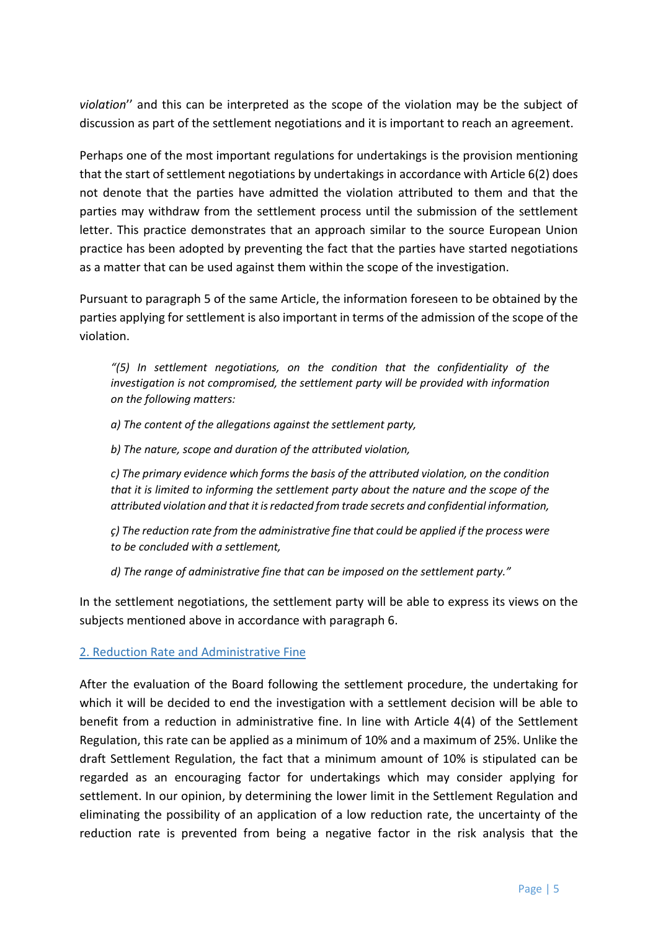*violation*'' and this can be interpreted as the scope of the violation may be the subject of discussion as part of the settlement negotiations and it is important to reach an agreement.

Perhaps one of the most important regulations for undertakings is the provision mentioning that the start of settlement negotiations by undertakings in accordance with Article 6(2) does not denote that the parties have admitted the violation attributed to them and that the parties may withdraw from the settlement process until the submission of the settlement letter. This practice demonstrates that an approach similar to the source European Union practice has been adopted by preventing the fact that the parties have started negotiations as a matter that can be used against them within the scope of the investigation.

Pursuant to paragraph 5 of the same Article, the information foreseen to be obtained by the parties applying for settlement is also important in terms of the admission of the scope of the violation.

*"(5) In settlement negotiations, on the condition that the confidentiality of the investigation is not compromised, the settlement party will be provided with information on the following matters:*

*a) The content of the allegations against the settlement party,*

*b) The nature, scope and duration of the attributed violation,*

*c) The primary evidence which forms the basis of the attributed violation, on the condition that it is limited to informing the settlement party about the nature and the scope of the attributed violation and that it is redacted from trade secrets and confidential information,*

*ç) The reduction rate from the administrative fine that could be applied if the process were to be concluded with a settlement,*

*d) The range of administrative fine that can be imposed on the settlement party."*

In the settlement negotiations, the settlement party will be able to express its views on the subjects mentioned above in accordance with paragraph 6.

## 2. Reduction Rate and Administrative Fine

After the evaluation of the Board following the settlement procedure, the undertaking for which it will be decided to end the investigation with a settlement decision will be able to benefit from a reduction in administrative fine. In line with Article 4(4) of the Settlement Regulation, this rate can be applied as a minimum of 10% and a maximum of 25%. Unlike the draft Settlement Regulation, the fact that a minimum amount of 10% is stipulated can be regarded as an encouraging factor for undertakings which may consider applying for settlement. In our opinion, by determining the lower limit in the Settlement Regulation and eliminating the possibility of an application of a low reduction rate, the uncertainty of the reduction rate is prevented from being a negative factor in the risk analysis that the